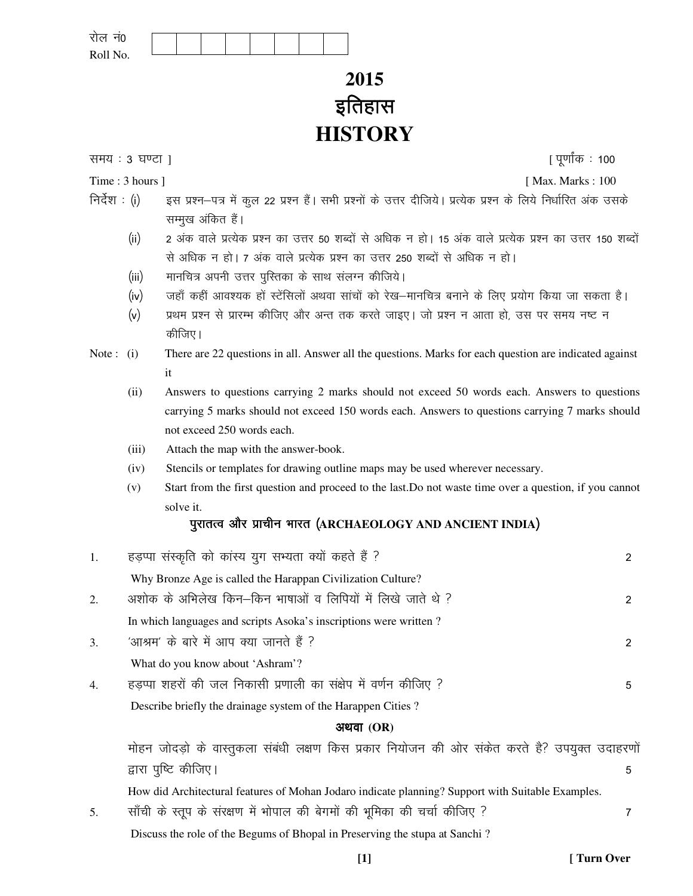| रोल नं0  |  |
|----------|--|
| Roll No. |  |

# **2015**  *bfrgkl*  **HISTORY**

*le; % 3 ?k.Vk* ] [ *iw.kk Z ad % 100* 

- Time : 3 hours ] [Max. Marks : 100]
- $f$ निर्देश : (i) इस प्रश्न–पत्र में कुल 22 प्रश्न हैं। सभी प्रश्नों के उत्तर दीजिये। प्रत्येक प्रश्न के लिये निर्धारित अंक उसके सम्मुख अंकित हैं।
	- *¼*ii*½ 2 vad okys izR;sd iz"u dk mÙkj 50 "kCnk sa l s vf/kd u gk sA 15 v ad okys izR;sd iz"u dk mÙkj 150 "kCnk sa l s vf/kd u gk sA 7 v ad okys i zR;sd iz"u dk mÙkj 250 "kCnk sa l s vf/kd u gk sA*
	- *(iii)* मानचित्र अपनी उत्तर पुस्तिका के साथ संलग्न कीजिये।
	- *¼*iv*½ tgk¡ dgha vko";d gk sa LV saflyksa vFkok lk apk sa dk s j s[k&ekufp= cukus d s fy, iz;k sx fd;k tk ldrk gSA*
	- *(v)* प्रथम प्रश्न से प्रारम्भ कीजिए और अन्त तक करते जाइए। जो प्रश्न न आता हो, उस पर समय नष्ट न **कीजिए।**
- Note : (i) There are 22 questions in all. Answer all the questions. Marks for each question are indicated against it
	- (ii) Answers to questions carrying 2 marks should not exceed 50 words each. Answers to questions carrying 5 marks should not exceed 150 words each. Answers to questions carrying 7 marks should not exceed 250 words each.
	- (iii) Attach the map with the answer-book.
	- (iv) Stencils or templates for drawing outline maps may be used wherever necessary.
	- (v) Start from the first question and proceed to the last.Do not waste time over a question, if you cannot solve it.

# *iqjkrRo vk Sj izkphu Hkkjr ¼***ARCHAEOLOGY AND ANCIENT INDIA***½*

| 1. | हड़प्पा संस्कृति को कांस्य युग सभ्यता क्यों कहते हैं ?                                            |   |
|----|---------------------------------------------------------------------------------------------------|---|
|    | Why Bronze Age is called the Harappan Civilization Culture?                                       |   |
| 2. | अशोक के अभिलेख किन–किन भाषाओं व लिपियों में लिखे जाते थे ?                                        | 2 |
|    | In which languages and scripts Asoka's inscriptions were written?                                 |   |
| 3. | 'आश्रम' के बारे में आप क्या जानते हैं ?                                                           | 2 |
|    | What do you know about 'Ashram'?                                                                  |   |
| 4. | हडप्पा शहरों की जल निकासी प्रणाली का संक्षेप में वर्णन कीजिए ?                                    | 5 |
|    | Describe briefly the drainage system of the Harappen Cities?                                      |   |
|    | अथवा $(OR)$                                                                                       |   |
|    | मोहन जोदड़ो के वास्तुकला संबंधी लक्षण किस प्रकार नियोजन की ओर संकेत करते है? उपयुक्त उदाहरणों     |   |
|    | द्वारा पुष्टि कीजिए।                                                                              | 5 |
|    | How did Architectural features of Mohan Jodaro indicate planning? Support with Suitable Examples. |   |
| 5. | साँची के स्तूप के संरक्षण में भोपाल की बेगमों की भूमिका की चर्चा कीजिए ?                          | 7 |
|    | Discuss the role of the Begums of Bhopal in Preserving the stupa at Sanchi?                       |   |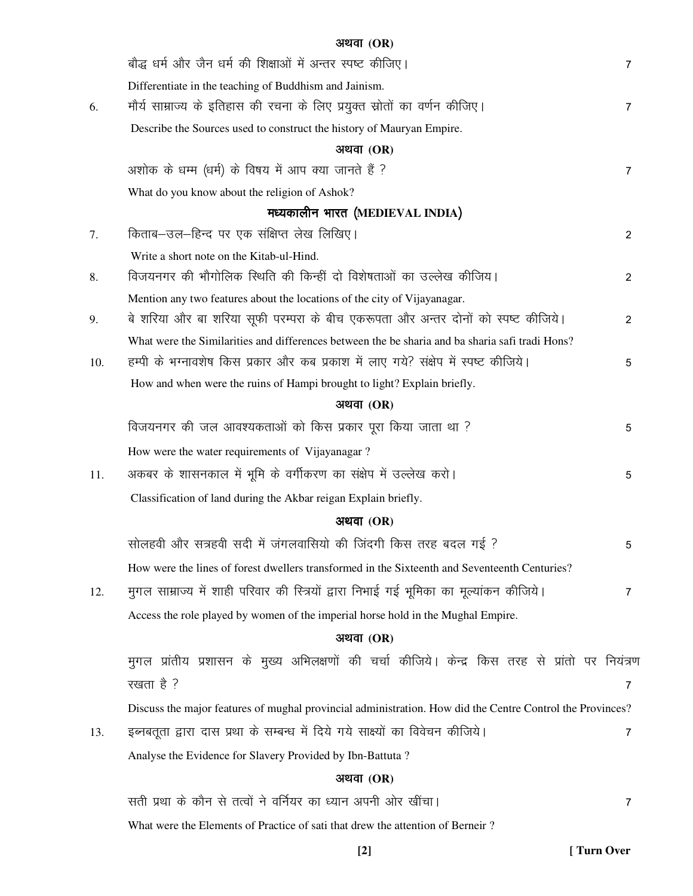|     | अथवा $(OR)$                                                                                               |                |  |  |  |
|-----|-----------------------------------------------------------------------------------------------------------|----------------|--|--|--|
|     | बौद्ध धर्म और जैन धर्म की शिक्षाओं में अन्तर स्पष्ट कीजिए।                                                | 7              |  |  |  |
|     | Differentiate in the teaching of Buddhism and Jainism.                                                    |                |  |  |  |
| 6.  | मौर्य साम्राज्य के इतिहास की रचना के लिए प्रयुक्त स्रोतों का वर्णन कीजिए।                                 | 7              |  |  |  |
|     | Describe the Sources used to construct the history of Mauryan Empire.                                     |                |  |  |  |
|     | अथवा $(OR)$                                                                                               |                |  |  |  |
|     | अशोक के धम्म (धर्म) के विषय में आप क्या जानते हैं ?                                                       | $\overline{7}$ |  |  |  |
|     | What do you know about the religion of Ashok?                                                             |                |  |  |  |
|     | मध्यकालीन भारत (MEDIEVAL INDIA)                                                                           |                |  |  |  |
| 7.  | किताब–उल–हिन्द पर एक संक्षिप्त लेख लिखिए।                                                                 | 2              |  |  |  |
|     | Write a short note on the Kitab-ul-Hind.                                                                  |                |  |  |  |
| 8.  | विजयनगर की भौगोलिक स्थिति की किन्हीं दो विशेषताओं का उल्लेख कीजिय।                                        | 2              |  |  |  |
|     | Mention any two features about the locations of the city of Vijayanagar.                                  |                |  |  |  |
| 9.  | बे शरिया और बा शरिया सूफी परम्परा के बीच एकरूपता और अन्तर दोनों को स्पष्ट कीजिये।                         | 2              |  |  |  |
|     | What were the Similarities and differences between the be sharia and ba sharia safi tradi Hons?           |                |  |  |  |
| 10. | हम्पी के भग्नावशेष किस प्रकार और कब प्रकाश में लाए गये? संक्षेप में स्पष्ट कीजिये।                        | 5              |  |  |  |
|     | How and when were the ruins of Hampi brought to light? Explain briefly.                                   |                |  |  |  |
|     | अथवा $(OR)$                                                                                               |                |  |  |  |
|     | विजयनगर की जल आवश्यकताओं को किस प्रकार पूरा किया जाता था ?                                                | 5              |  |  |  |
|     | How were the water requirements of Vijayanagar?                                                           |                |  |  |  |
| 11. | अकबर के शासनकाल में भूमि के वर्गीकरण का संक्षेप में उल्लेख करो।                                           | 5              |  |  |  |
|     | Classification of land during the Akbar reigan Explain briefly.                                           |                |  |  |  |
|     | अथवा $(OR)$                                                                                               |                |  |  |  |
|     | सोलहवी और सत्रहवी सदी में जंगलवासियो की जिंदगी किस तरह बदल गई ?                                           |                |  |  |  |
|     | How were the lines of forest dwellers transformed in the Sixteenth and Seventeenth Centuries?             |                |  |  |  |
| 12. | मुगल साम्राज्य में शाही परिवार की स्त्रियों द्वारा निभाई गई भूमिका का मूल्यांकन कीजिये।                   | 7              |  |  |  |
|     | Access the role played by women of the imperial horse hold in the Mughal Empire.                          |                |  |  |  |
|     | अथवा $(OR)$                                                                                               |                |  |  |  |
|     | मुगल प्रांतीय प्रशासन के मुख्य अभिलक्षणों की चर्चा कीजिये। केन्द्र किस तरह से प्रांतो पर नियंत्रण         |                |  |  |  |
|     | रखता है ?                                                                                                 | $\overline{7}$ |  |  |  |
|     | Discuss the major features of mughal provincial administration. How did the Centre Control the Provinces? |                |  |  |  |
| 13. | इब्नबतूता द्वारा दास प्रथा के सम्बन्ध में दिये गये साक्ष्यों का विवेचन कीजिये।                            | 7              |  |  |  |
|     | Analyse the Evidence for Slavery Provided by Ibn-Battuta?                                                 |                |  |  |  |
|     | अथवा $(OR)$                                                                                               |                |  |  |  |
|     | सती प्रथा के कौन से तत्वों ने वर्नियर का ध्यान अपनी ओर खींचा।                                             | $\overline{7}$ |  |  |  |

What were the Elements of Practice of sati that drew the attention of Berneir ?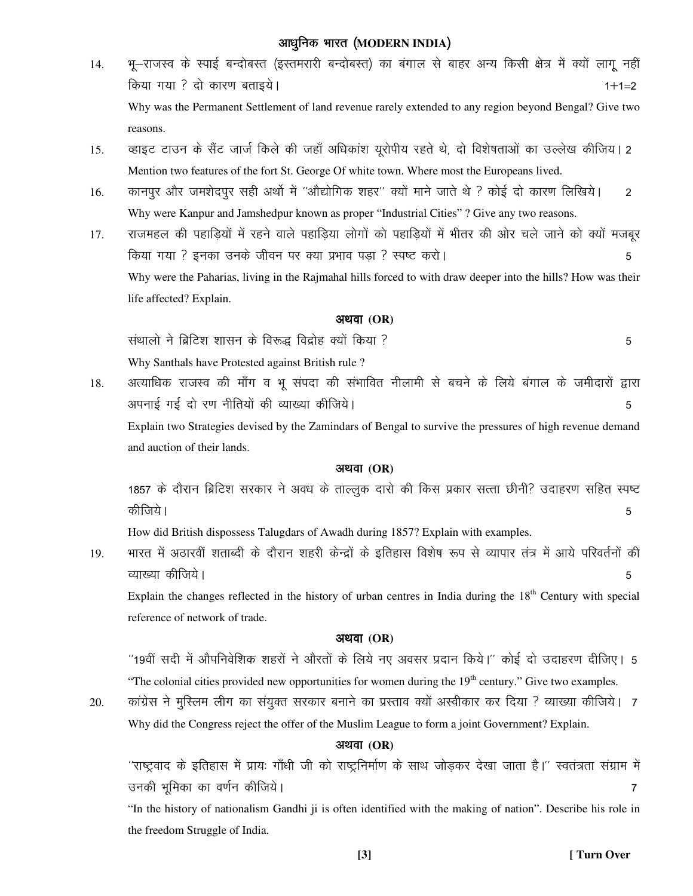# $\varphi$  अाधुनिक भारत (MODERN INDIA)

- 14. *Hkw&jkTkLo ds LikbZ cUnk scLr ¼bLrejkjh cUnk scLr½ dk caxky l s ckgj vU; fdlh {ks= esa D;k sa ykxw ugh a fd;k x;k \ nks dkj.k crkb;sA 1\$1¾2*  Why was the Permanent Settlement of land revenue rarely extended to any region beyond Bengal? Give two reasons.
- 15. व्हाइट टाउन के सैंट जार्ज किले की जहाँ अधिकांश यूरोपीय रहते थे, दो विशेषताओं का उल्लेख कीजिय। 2 Mention two features of the fort St. George Of white town. Where most the Europeans lived.
- 16. कानपुर और जमशेदपुर सही अर्थो में ''औद्योगिक शहर'' क्यों माने जाते थे ? कोई दो कारण लिखिये। 2 Why were Kanpur and Jamshedpur known as proper "Industrial Cities" ? Give any two reasons.
- 17. राजमहल की पहाडियों में रहने वाले पहाडिया लोगों को पहाडियों में भीतर की ओर चले जाने को क्यों मजबुर *fd;k x;k \ budk muds thou ij D;k izHkko iM+k \ Li'V djk sA 5*  Why were the Paharias, living in the Rajmahal hills forced to with draw deeper into the hills? How was their life affected? Explain.

# $\partial P$ *x* and *(OR)*

*l aFkkyks us fczfV"k "kklu ds fo:) fonzk sg D;k sa fd;k \ 5*  Why Santhals have Protested against British rule ?

18. अत्याधिक राजस्व की माँग व भू संपदा की संभावित नीलामी से बचने के लिये बंगाल के जमीदारों द्वारा *viukbZ xbZ nks j.k uhfr;ksa dh O;k[;k dhft;sA 5*  Explain two Strategies devised by the Zamindars of Bengal to survive the pressures of high revenue demand and auction of their lands.

#### *vFkok* **(OR)**

1857 के दौरान ब्रिटिश सरकार ने अवध के ताल्लुक दारो की किस प्रकार सत्ता छीनी? उदाहरण सहित स्पष्ट *dhft;sA 5* 

How did British dispossess Talugdars of Awadh during 1857? Explain with examples.

19. भारत में अठारवीं शताब्दी के दौरान शहरी केन्द्रों के इतिहास विशेष रूप से व्यापार तंत्र में आये परिवर्तनों की *O;k[;k dhft; sA 5* 

Explain the changes reflected in the history of urban centres in India during the  $18<sup>th</sup>$  Century with special reference of network of trade.

### *vFkok* **(OR)**

*^^19oh a lnh esa vk Sifuosf"kd "kgjk sa us vk Sjrk sa ds fy;s u, volj iznku fd;sA\*\* dksbZ nk s mnkgj.k nhft,A 5*  "The colonial cities provided new opportunities for women during the 19<sup>th</sup> century." Give two examples.

20. कांग्रेस ने मुस्लिम लीग का संयुक्त सरकार बनाने का प्रस्ताव क्यों अस्वीकार कर दिया ? व्याख्या कीजिये। 7 Why did the Congress reject the offer of the Muslim League to form a joint Government? Explain.

### $3$ थवा (OR)

*^^jk'Vªokn ds bfrgkl esa izk;% xk¡/kh th dk s jk'Vªfuek Z.k ds lkFk tk sM+dj ns[kk tkrk gSA\*\* Lora=rk laxzke esa mudh Hk wfedk dk o.k Zu dhft; sA 7* 

"In the history of nationalism Gandhi ji is often identified with the making of nation". Describe his role in the freedom Struggle of India.